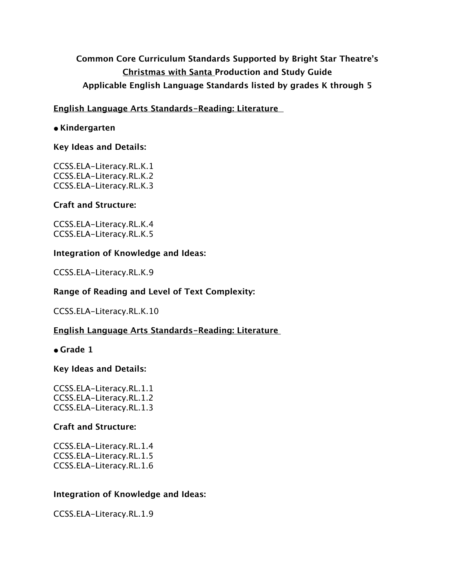# **Common Core Curriculum Standards Supported by Bright Star Theatre's Christmas with Santa Production and Study Guide Applicable English Language Standards listed by grades K through 5**

## **English Language Arts Standards-Reading: Literature**

### **• Kindergarten**

#### **Key Ideas and Details:**

CCSS.ELA-Literacy.RL.K.1 CCSS.ELA-Literacy.RL.K.2 CCSS.ELA-Literacy.RL.K.3

### **Craft and Structure:**

CCSS.ELA-Literacy.RL.K.4 CCSS.ELA-Literacy.RL.K.5

### **Integration of Knowledge and Ideas:**

CCSS.ELA-Literacy.RL.K.9

### **Range of Reading and Level of Text Complexity:**

CCSS.ELA-Literacy.RL.K.10

### **English Language Arts Standards-Reading: Literature**

### **• Grade 1**

### **Key Ideas and Details:**

CCSS.ELA-Literacy.RL.1.1 CCSS.ELA-Literacy.RL.1.2 CCSS.ELA-Literacy.RL.1.3

### **Craft and Structure:**

CCSS.ELA-Literacy.RL.1.4 CCSS.ELA-Literacy.RL.1.5 CCSS.ELA-Literacy.RL.1.6

### **Integration of Knowledge and Ideas:**

CCSS.ELA-Literacy.RL.1.9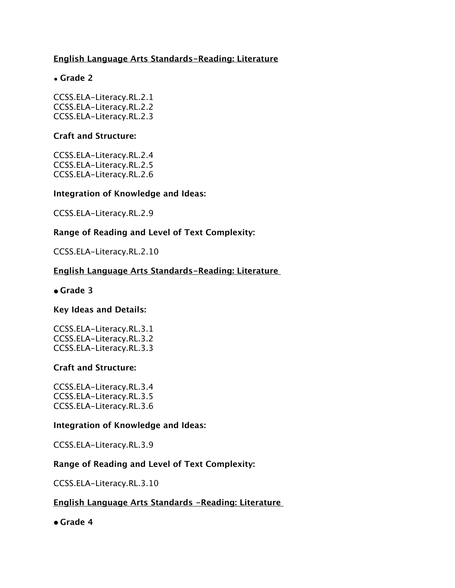## **English Language Arts Standards-Reading: Literature**

## • **Grade 2**

CCSS.ELA-Literacy.RL.2.1 CCSS.ELA-Literacy.RL.2.2 CCSS.ELA-Literacy.RL.2.3

#### **Craft and Structure:**

CCSS.ELA-Literacy.RL.2.4 CCSS.ELA-Literacy.RL.2.5 CCSS.ELA-Literacy.RL.2.6

#### **Integration of Knowledge and Ideas:**

CCSS.ELA-Literacy.RL.2.9

### **Range of Reading and Level of Text Complexity:**

CCSS.ELA-Literacy.RL.2.10

## **English Language Arts Standards-Reading: Literature**

#### **• Grade 3**

### **Key Ideas and Details:**

CCSS.ELA-Literacy.RL.3.1 CCSS.ELA-Literacy.RL.3.2 CCSS.ELA-Literacy.RL.3.3

### **Craft and Structure:**

CCSS.ELA-Literacy.RL.3.4 CCSS.ELA-Literacy.RL.3.5 CCSS.ELA-Literacy.RL.3.6

#### **Integration of Knowledge and Ideas:**

CCSS.ELA-Literacy.RL.3.9

### **Range of Reading and Level of Text Complexity:**

CCSS.ELA-Literacy.RL.3.10

### **English Language Arts Standards -Reading: Literature**

**• Grade 4**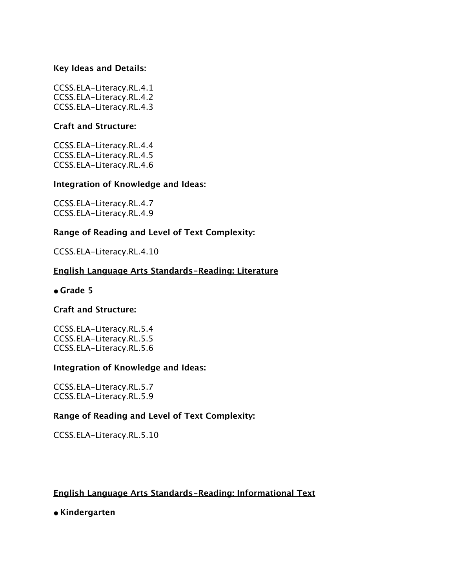CCSS.ELA-Literacy.RL.4.1 CCSS.ELA-Literacy.RL.4.2 CCSS.ELA-Literacy.RL.4.3

#### **Craft and Structure:**

CCSS.ELA-Literacy.RL.4.4 CCSS.ELA-Literacy.RL.4.5 CCSS.ELA-Literacy.RL.4.6

#### **Integration of Knowledge and Ideas:**

CCSS.ELA-Literacy.RL.4.7 CCSS.ELA-Literacy.RL.4.9

### **Range of Reading and Level of Text Complexity:**

CCSS.ELA-Literacy.RL.4.10

## **English Language Arts Standards-Reading: Literature**

#### **• Grade 5**

#### **Craft and Structure:**

CCSS.ELA-Literacy.RL.5.4 CCSS.ELA-Literacy.RL.5.5 CCSS.ELA-Literacy.RL.5.6

#### **Integration of Knowledge and Ideas:**

CCSS.ELA-Literacy.RL.5.7 CCSS.ELA-Literacy.RL.5.9

### **Range of Reading and Level of Text Complexity:**

CCSS.ELA-Literacy.RL.5.10

### **English Language Arts Standards-Reading: Informational Text**

**• Kindergarten**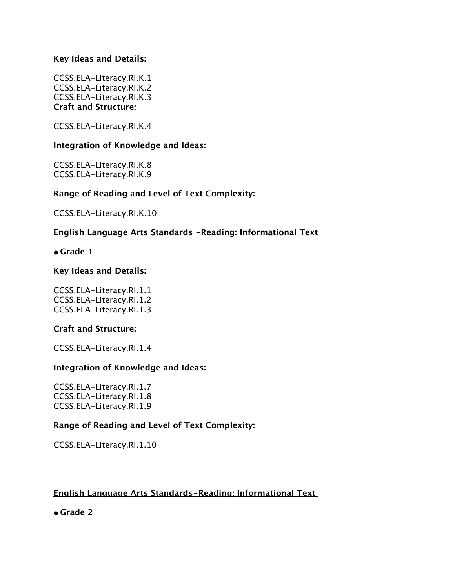CCSS.ELA-Literacy.RI.K.1 CCSS.ELA-Literacy.RI.K.2 CCSS.ELA-Literacy.RI.K.3 **Craft and Structure:**

CCSS.ELA-Literacy.RI.K.4

### **Integration of Knowledge and Ideas:**

CCSS.ELA-Literacy.RI.K.8 CCSS.ELA-Literacy.RI.K.9

## **Range of Reading and Level of Text Complexity:**

CCSS.ELA-Literacy.RI.K.10

## **English Language Arts Standards -Reading: Informational Text**

**• Grade 1**

### **Key Ideas and Details:**

CCSS.ELA-Literacy.RI.1.1 CCSS.ELA-Literacy.RI.1.2 CCSS.ELA-Literacy.RI.1.3

### **Craft and Structure:**

CCSS.ELA-Literacy.RI.1.4

### **Integration of Knowledge and Ideas:**

CCSS.ELA-Literacy.RI.1.7 CCSS.ELA-Literacy.RI.1.8 CCSS.ELA-Literacy.RI.1.9

## **Range of Reading and Level of Text Complexity:**

CCSS.ELA-Literacy.RI.1.10

## **English Language Arts Standards-Reading: Informational Text**

**• Grade 2**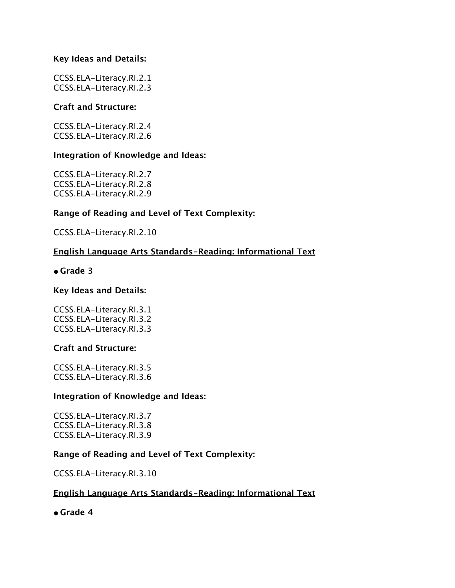CCSS.ELA-Literacy.RI.2.1 CCSS.ELA-Literacy.RI.2.3

### **Craft and Structure:**

CCSS.ELA-Literacy.RI.2.4 CCSS.ELA-Literacy.RI.2.6

## **Integration of Knowledge and Ideas:**

CCSS.ELA-Literacy.RI.2.7 CCSS.ELA-Literacy.RI.2.8 CCSS.ELA-Literacy.RI.2.9

## **Range of Reading and Level of Text Complexity:**

CCSS.ELA-Literacy.RI.2.10

## **English Language Arts Standards-Reading: Informational Text**

**• Grade 3**

### **Key Ideas and Details:**

CCSS.ELA-Literacy.RI.3.1 CCSS.ELA-Literacy.RI.3.2 CCSS.ELA-Literacy.RI.3.3

### **Craft and Structure:**

CCSS.ELA-Literacy.RI.3.5 CCSS.ELA-Literacy.RI.3.6

### **Integration of Knowledge and Ideas:**

CCSS.ELA-Literacy.RI.3.7 CCSS.ELA-Literacy.RI.3.8 CCSS.ELA-Literacy.RI.3.9

## **Range of Reading and Level of Text Complexity:**

CCSS.ELA-Literacy.RI.3.10

## **English Language Arts Standards-Reading: Informational Text**

**• Grade 4**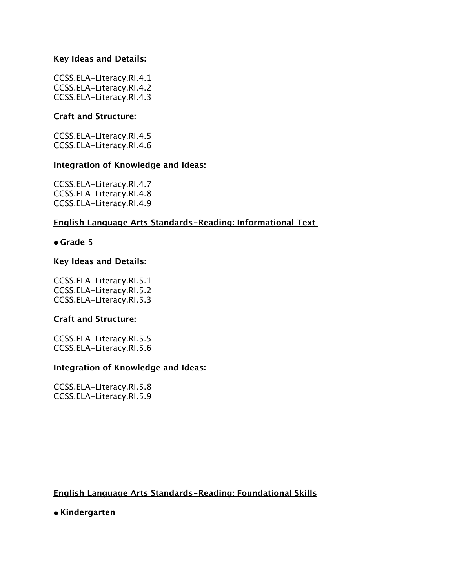CCSS.ELA-Literacy.RI.4.1 CCSS.ELA-Literacy.RI.4.2 CCSS.ELA-Literacy.RI.4.3

## **Craft and Structure:**

CCSS.ELA-Literacy.RI.4.5 CCSS.ELA-Literacy.RI.4.6

### **Integration of Knowledge and Ideas:**

CCSS.ELA-Literacy.RI.4.7 CCSS.ELA-Literacy.RI.4.8 CCSS.ELA-Literacy.RI.4.9

## **English Language Arts Standards-Reading: Informational Text**

### **• Grade 5**

### **Key Ideas and Details:**

CCSS.ELA-Literacy.RI.5.1 CCSS.ELA-Literacy.RI.5.2 CCSS.ELA-Literacy.RI.5.3

### **Craft and Structure:**

CCSS.ELA-Literacy.RI.5.5 CCSS.ELA-Literacy.RI.5.6

### **Integration of Knowledge and Ideas:**

CCSS.ELA-Literacy.RI.5.8 CCSS.ELA-Literacy.RI.5.9

## **English Language Arts Standards-Reading: Foundational Skills**

**• Kindergarten**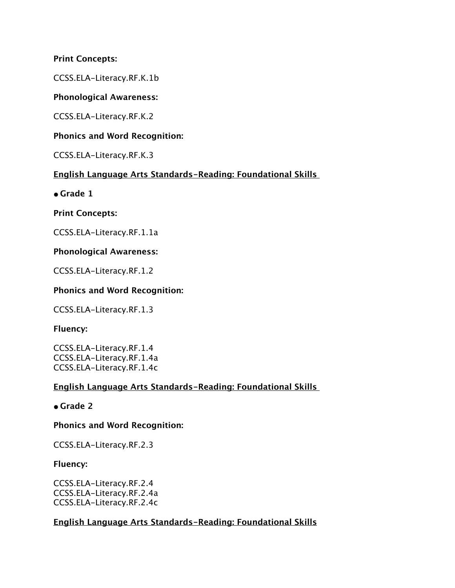## **Print Concepts:**

CCSS.ELA-Literacy.RF.K.1b

## **Phonological Awareness:**

CCSS.ELA-Literacy.RF.K.2

## **Phonics and Word Recognition:**

CCSS.ELA-Literacy.RF.K.3

## **English Language Arts Standards-Reading: Foundational Skills**

**• Grade 1**

**Print Concepts:**

CCSS.ELA-Literacy.RF.1.1a

## **Phonological Awareness:**

CCSS.ELA-Literacy.RF.1.2

## **Phonics and Word Recognition:**

CCSS.ELA-Literacy.RF.1.3

### **Fluency:**

CCSS.ELA-Literacy.RF.1.4 CCSS.ELA-Literacy.RF.1.4a CCSS.ELA-Literacy.RF.1.4c

### **English Language Arts Standards-Reading: Foundational Skills**

## **• Grade 2**

## **Phonics and Word Recognition:**

CCSS.ELA-Literacy.RF.2.3

## **Fluency:**

CCSS.ELA-Literacy.RF.2.4 CCSS.ELA-Literacy.RF.2.4a CCSS.ELA-Literacy.RF.2.4c

## **English Language Arts Standards-Reading: Foundational Skills**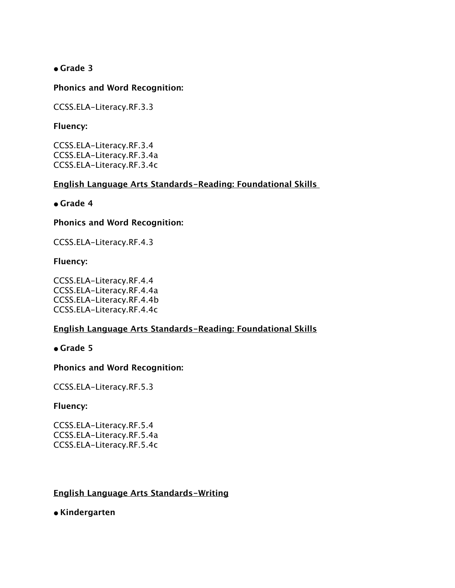**• Grade 3**

## **Phonics and Word Recognition:**

CCSS.ELA-Literacy.RF.3.3

### **Fluency:**

CCSS.ELA-Literacy.RF.3.4 CCSS.ELA-Literacy.RF.3.4a CCSS.ELA-Literacy.RF.3.4c

## **English Language Arts Standards-Reading: Foundational Skills**

## **• Grade 4**

### **Phonics and Word Recognition:**

CCSS.ELA-Literacy.RF.4.3

## **Fluency:**

CCSS.ELA-Literacy.RF.4.4 CCSS.ELA-Literacy.RF.4.4a CCSS.ELA-Literacy.RF.4.4b CCSS.ELA-Literacy.RF.4.4c

## **English Language Arts Standards-Reading: Foundational Skills**

### **• Grade 5**

### **Phonics and Word Recognition:**

CCSS.ELA-Literacy.RF.5.3

### **Fluency:**

CCSS.ELA-Literacy.RF.5.4 CCSS.ELA-Literacy.RF.5.4a CCSS.ELA-Literacy.RF.5.4c

## **English Language Arts Standards-Writing**

**• Kindergarten**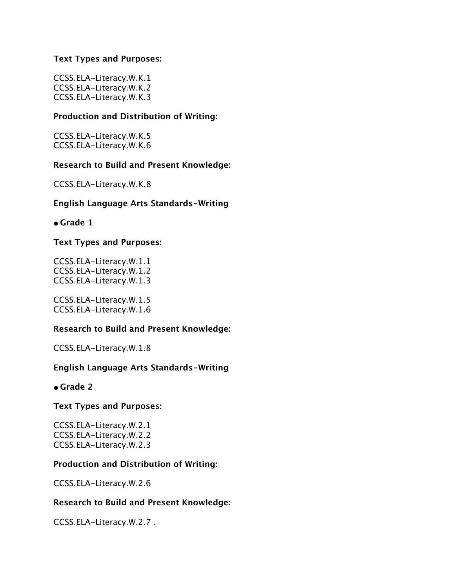### **Text Types and Purposes:**

CCSS.ELA-Literacy.W.K.1 CCSS.ELA-Literacy.W.K.2 CCSS.ELA-Literacy.W.K.3

## **Production and Distribution of Writing:**

CCSS.ELA-Literacy.W.K.5 CCSS.ELA-Literacy.W.K.6

### **Research to Build and Present Knowledge:**

CCSS.ELA-Literacy.W.K.8

### **English Language Arts Standards-Writing**

**• Grade 1**

### **Text Types and Purposes:**

CCSS.ELA-Literacy.W.1.1 CCSS.ELA-Literacy.W.1.2 CCSS.ELA-Literacy.W.1.3

CCSS.ELA-Literacy.W.1.5 CCSS.ELA-Literacy.W.1.6

### **Research to Build and Present Knowledge:**

CCSS.ELA-Literacy.W.1.8

### **English Language Arts Standards-Writing**

### **• Grade 2**

### **Text Types and Purposes:**

CCSS.ELA-Literacy.W.2.1 CCSS.ELA-Literacy.W.2.2 CCSS.ELA-Literacy.W.2.3

### **Production and Distribution of Writing:**

CCSS.ELA-Literacy.W.2.6

### **Research to Build and Present Knowledge:**

CCSS.ELA-Literacy.W.2.7 .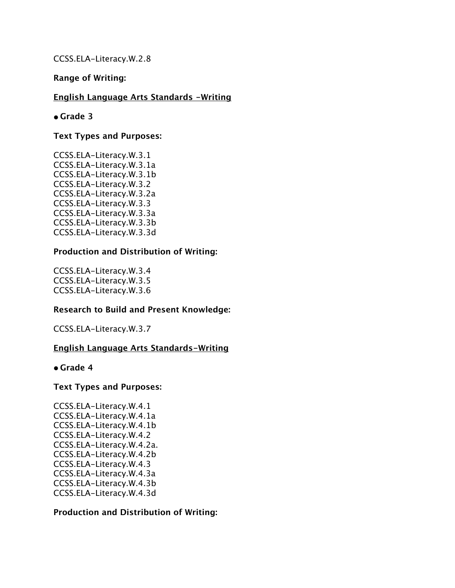CCSS.ELA-Literacy.W.2.8

#### **Range of Writing:**

#### **English Language Arts Standards -Writing**

#### **• Grade 3**

#### **Text Types and Purposes:**

CCSS.ELA-Literacy.W.3.1 CCSS.ELA-Literacy.W.3.1a CCSS.ELA-Literacy.W.3.1b CCSS.ELA-Literacy.W.3.2 CCSS.ELA-Literacy.W.3.2a CCSS.ELA-Literacy.W.3.3 CCSS.ELA-Literacy.W.3.3a CCSS.ELA-Literacy.W.3.3b CCSS.ELA-Literacy.W.3.3d

#### **Production and Distribution of Writing:**

CCSS.ELA-Literacy.W.3.4 CCSS.ELA-Literacy.W.3.5 CCSS.ELA-Literacy.W.3.6

### **Research to Build and Present Knowledge:**

CCSS.ELA-Literacy.W.3.7

#### **English Language Arts Standards-Writing**

#### **• Grade 4**

#### **Text Types and Purposes:**

CCSS.ELA-Literacy.W.4.1 CCSS.ELA-Literacy.W.4.1a CCSS.ELA-Literacy.W.4.1b CCSS.ELA-Literacy.W.4.2 CCSS.ELA-Literacy.W.4.2a. CCSS.ELA-Literacy.W.4.2b CCSS.ELA-Literacy.W.4.3 CCSS.ELA-Literacy.W.4.3a CCSS.ELA-Literacy.W.4.3b CCSS.ELA-Literacy.W.4.3d

#### **Production and Distribution of Writing:**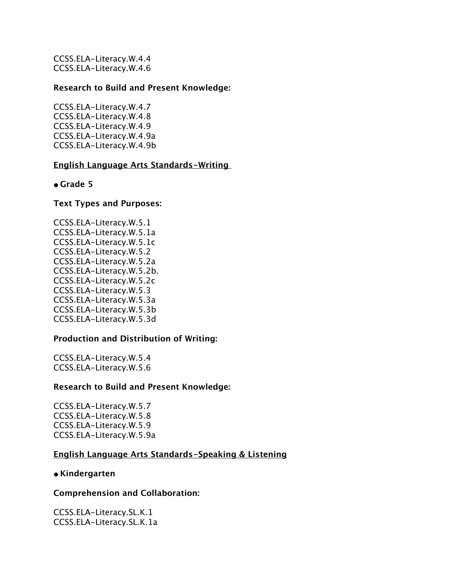CCSS.ELA-Literacy.W.4.4 CCSS.ELA-Literacy.W.4.6

### **Research to Build and Present Knowledge:**

CCSS.ELA-Literacy.W.4.7 CCSS.ELA-Literacy.W.4.8 CCSS.ELA-Literacy.W.4.9 CCSS.ELA-Literacy.W.4.9a CCSS.ELA-Literacy.W.4.9b

### **English Language Arts Standards-Writing**

### **• Grade 5**

### **Text Types and Purposes:**

CCSS.ELA-Literacy.W.5.1 CCSS.ELA-Literacy.W.5.1a CCSS.ELA-Literacy.W.5.1c CCSS.ELA-Literacy.W.5.2 CCSS.ELA-Literacy.W.5.2a CCSS.ELA-Literacy.W.5.2b. CCSS.ELA-Literacy.W.5.2c CCSS.ELA-Literacy.W.5.3 CCSS.ELA-Literacy.W.5.3a CCSS.ELA-Literacy.W.5.3b CCSS.ELA-Literacy.W.5.3d

### **Production and Distribution of Writing:**

CCSS.ELA-Literacy.W.5.4 CCSS.ELA-Literacy.W.5.6

### **Research to Build and Present Knowledge:**

CCSS.ELA-Literacy.W.5.7 CCSS.ELA-Literacy.W.5.8 CCSS.ELA-Literacy.W.5.9 CCSS.ELA-Literacy.W.5.9a

### **English Language Arts Standards-Speaking & Listening**

### **• Kindergarten**

### **Comprehension and Collaboration:**

CCSS.ELA-Literacy.SL.K.1 CCSS.ELA-Literacy.SL.K.1a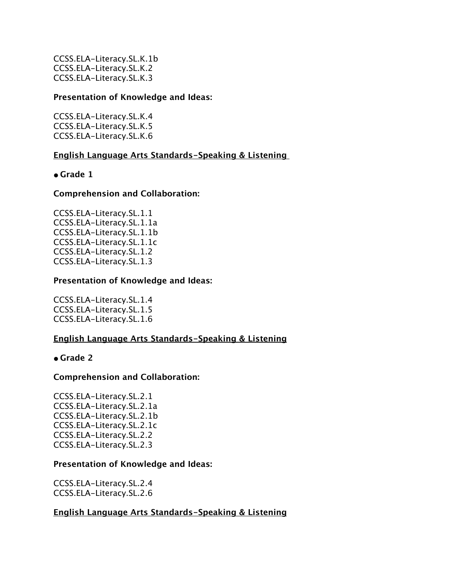CCSS.ELA-Literacy.SL.K.1b CCSS.ELA-Literacy.SL.K.2 CCSS.ELA-Literacy.SL.K.3

#### **Presentation of Knowledge and Ideas:**

CCSS.ELA-Literacy.SL.K.4 CCSS.ELA-Literacy.SL.K.5 CCSS.ELA-Literacy.SL.K.6

## **English Language Arts Standards-Speaking & Listening**

### **• Grade 1**

#### **Comprehension and Collaboration:**

CCSS.ELA-Literacy.SL.1.1 CCSS.ELA-Literacy.SL.1.1a CCSS.ELA-Literacy.SL.1.1b CCSS.ELA-Literacy.SL.1.1c CCSS.ELA-Literacy.SL.1.2 CCSS.ELA-Literacy.SL.1.3

#### **Presentation of Knowledge and Ideas:**

CCSS.ELA-Literacy.SL.1.4 CCSS.ELA-Literacy.SL.1.5 CCSS.ELA-Literacy.SL.1.6

### **English Language Arts Standards-Speaking & Listening**

#### **• Grade 2**

### **Comprehension and Collaboration:**

CCSS.ELA-Literacy.SL.2.1 CCSS.ELA-Literacy.SL.2.1a CCSS.ELA-Literacy.SL.2.1b CCSS.ELA-Literacy.SL.2.1c CCSS.ELA-Literacy.SL.2.2 CCSS.ELA-Literacy.SL.2.3

#### **Presentation of Knowledge and Ideas:**

CCSS.ELA-Literacy.SL.2.4 CCSS.ELA-Literacy.SL.2.6

### **English Language Arts Standards-Speaking & Listening**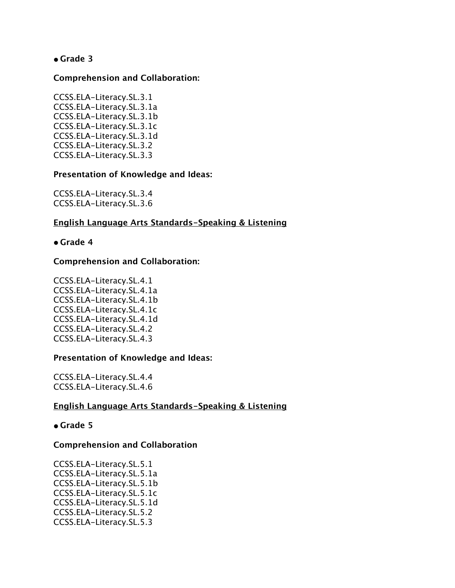## **• Grade 3**

#### **Comprehension and Collaboration:**

CCSS.ELA-Literacy.SL.3.1 CCSS.ELA-Literacy.SL.3.1a CCSS.ELA-Literacy.SL.3.1b CCSS.ELA-Literacy.SL.3.1c CCSS.ELA-Literacy.SL.3.1d CCSS.ELA-Literacy.SL.3.2 CCSS.ELA-Literacy.SL.3.3

#### **Presentation of Knowledge and Ideas:**

CCSS.ELA-Literacy.SL.3.4 CCSS.ELA-Literacy.SL.3.6

### **English Language Arts Standards-Speaking & Listening**

#### **• Grade 4**

#### **Comprehension and Collaboration:**

CCSS.ELA-Literacy.SL.4.1 CCSS.ELA-Literacy.SL.4.1a CCSS.ELA-Literacy.SL.4.1b CCSS.ELA-Literacy.SL.4.1c CCSS.ELA-Literacy.SL.4.1d CCSS.ELA-Literacy.SL.4.2 CCSS.ELA-Literacy.SL.4.3

#### **Presentation of Knowledge and Ideas:**

CCSS.ELA-Literacy.SL.4.4 CCSS.ELA-Literacy.SL.4.6

### **English Language Arts Standards-Speaking & Listening**

## **• Grade 5**

#### **Comprehension and Collaboration**

CCSS.ELA-Literacy.SL.5.1 CCSS.ELA-Literacy.SL.5.1a CCSS.ELA-Literacy.SL.5.1b CCSS.ELA-Literacy.SL.5.1c CCSS.ELA-Literacy.SL.5.1d CCSS.ELA-Literacy.SL.5.2 CCSS.ELA-Literacy.SL.5.3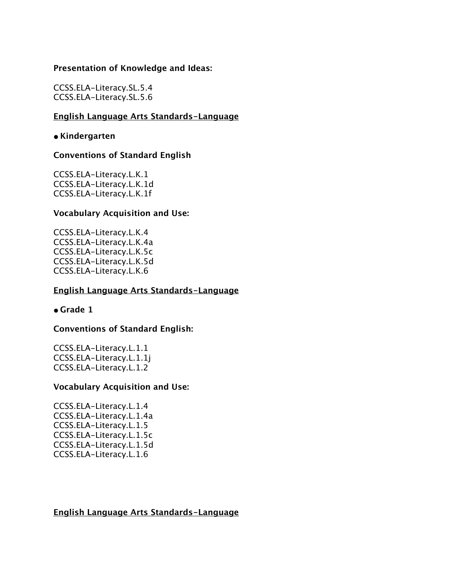#### **Presentation of Knowledge and Ideas:**

CCSS.ELA-Literacy.SL.5.4 CCSS.ELA-Literacy.SL.5.6

### **English Language Arts Standards-Language**

#### **• Kindergarten**

## **Conventions of Standard English**

CCSS.ELA-Literacy.L.K.1 CCSS.ELA-Literacy.L.K.1d CCSS.ELA-Literacy.L.K.1f

### **Vocabulary Acquisition and Use:**

CCSS.ELA-Literacy.L.K.4 CCSS.ELA-Literacy.L.K.4a CCSS.ELA-Literacy.L.K.5c CCSS.ELA-Literacy.L.K.5d CCSS.ELA-Literacy.L.K.6

### **English Language Arts Standards-Language**

#### **• Grade 1**

### **Conventions of Standard English:**

CCSS.ELA-Literacy.L.1.1 CCSS.ELA-Literacy.L.1.1j CCSS.ELA-Literacy.L.1.2

#### **Vocabulary Acquisition and Use:**

CCSS.ELA-Literacy.L.1.4 CCSS.ELA-Literacy.L.1.4a CCSS.ELA-Literacy.L.1.5 CCSS.ELA-Literacy.L.1.5c CCSS.ELA-Literacy.L.1.5d CCSS.ELA-Literacy.L.1.6

#### **English Language Arts Standards-Language**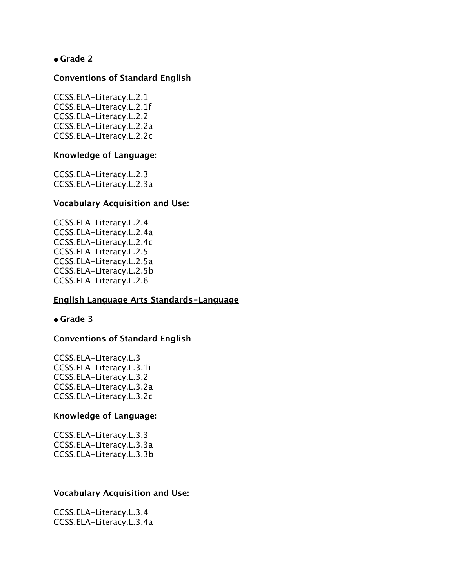## **• Grade 2**

#### **Conventions of Standard English**

CCSS.ELA-Literacy.L.2.1 CCSS.ELA-Literacy.L.2.1f CCSS.ELA-Literacy.L.2.2 CCSS.ELA-Literacy.L.2.2a CCSS.ELA-Literacy.L.2.2c

#### **Knowledge of Language:**

CCSS.ELA-Literacy.L.2.3 CCSS.ELA-Literacy.L.2.3a

#### **Vocabulary Acquisition and Use:**

CCSS.ELA-Literacy.L.2.4 CCSS.ELA-Literacy.L.2.4a CCSS.ELA-Literacy.L.2.4c CCSS.ELA-Literacy.L.2.5 CCSS.ELA-Literacy.L.2.5a CCSS.ELA-Literacy.L.2.5b CCSS.ELA-Literacy.L.2.6

### **English Language Arts Standards-Language**

#### **• Grade 3**

### **Conventions of Standard English**

CCSS.ELA-Literacy.L.3 CCSS.ELA-Literacy.L.3.1i CCSS.ELA-Literacy.L.3.2 CCSS.ELA-Literacy.L.3.2a CCSS.ELA-Literacy.L.3.2c

#### **Knowledge of Language:**

CCSS.ELA-Literacy.L.3.3 CCSS.ELA-Literacy.L.3.3a CCSS.ELA-Literacy.L.3.3b

#### **Vocabulary Acquisition and Use:**

CCSS.ELA-Literacy.L.3.4 CCSS.ELA-Literacy.L.3.4a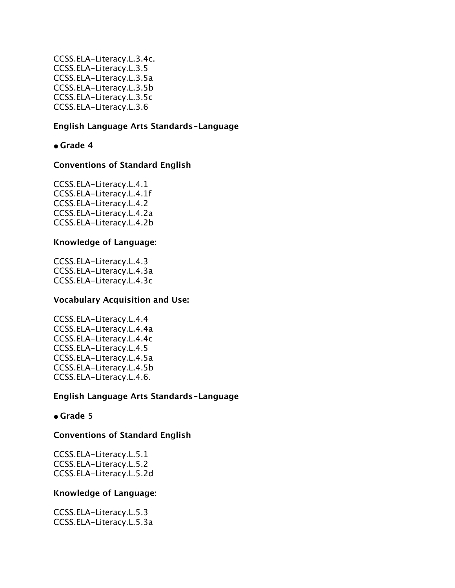CCSS.ELA-Literacy.L.3.4c. CCSS.ELA-Literacy.L.3.5 CCSS.ELA-Literacy.L.3.5a CCSS.ELA-Literacy.L.3.5b CCSS.ELA-Literacy.L.3.5c CCSS.ELA-Literacy.L.3.6

### **English Language Arts Standards-Language**

**• Grade 4**

## **Conventions of Standard English**

CCSS.ELA-Literacy.L.4.1 CCSS.ELA-Literacy.L.4.1f CCSS.ELA-Literacy.L.4.2 CCSS.ELA-Literacy.L.4.2a CCSS.ELA-Literacy.L.4.2b

## **Knowledge of Language:**

CCSS.ELA-Literacy.L.4.3 CCSS.ELA-Literacy.L.4.3a CCSS.ELA-Literacy.L.4.3c

### **Vocabulary Acquisition and Use:**

CCSS.ELA-Literacy.L.4.4 CCSS.ELA-Literacy.L.4.4a CCSS.ELA-Literacy.L.4.4c CCSS.ELA-Literacy.L.4.5 CCSS.ELA-Literacy.L.4.5a CCSS.ELA-Literacy.L.4.5b CCSS.ELA-Literacy.L.4.6.

## **English Language Arts Standards-Language**

### **• Grade 5**

### **Conventions of Standard English**

CCSS.ELA-Literacy.L.5.1 CCSS.ELA-Literacy.L.5.2 CCSS.ELA-Literacy.L.5.2d

### **Knowledge of Language:**

CCSS.ELA-Literacy.L.5.3 CCSS.ELA-Literacy.L.5.3a